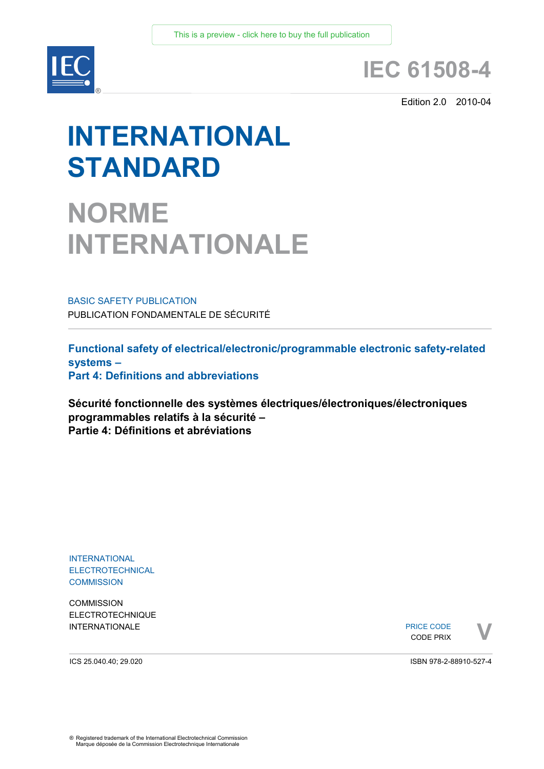

## **IEC 61508-4**

Edition 2.0 2010-04

# **INTERNATIONAL STANDARD**

## **NORME INTERNATIONALE**

BASIC SAFETY PUBLICATION PUBLICATION FONDAMENTALE DE SÉCURITÉ

**Functional safety of electrical/electronic/programmable electronic safety-related systems – Part 4: Definitions and abbreviations** 

**Sécurité fonctionnelle des systèmes électriques/électroniques/électroniques programmables relatifs à la sécurité – Partie 4: Définitions et abréviations** 

INTERNATIONAL ELECTROTECHNICAL **COMMISSION** 

**COMMISSION** ELECTROTECHNIQUE

INTERNATIONALE PRICE CODE PRICE CODE PRICE CODE PRICE CODE PRIX PRICE CODE CODE PRIX



ICS 25.040.40; 29.020

ISBN 978-2-88910-527-4

® Registered trademark of the International Electrotechnical Commission Marque déposée de la Commission Electrotechnique Internationale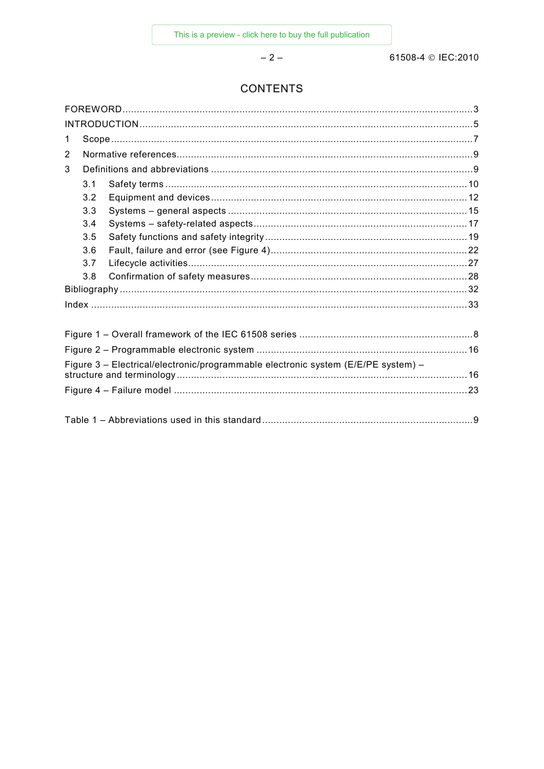$-2-$ 

### **CONTENTS**

| 1              |     |                                                                                   |  |  |  |
|----------------|-----|-----------------------------------------------------------------------------------|--|--|--|
| $\overline{2}$ |     |                                                                                   |  |  |  |
| 3              |     |                                                                                   |  |  |  |
|                | 3.1 |                                                                                   |  |  |  |
|                | 3.2 |                                                                                   |  |  |  |
|                | 3.3 |                                                                                   |  |  |  |
|                | 3.4 |                                                                                   |  |  |  |
|                | 3.5 |                                                                                   |  |  |  |
|                | 3.6 |                                                                                   |  |  |  |
|                | 3.7 |                                                                                   |  |  |  |
|                | 3.8 |                                                                                   |  |  |  |
|                |     |                                                                                   |  |  |  |
|                |     |                                                                                   |  |  |  |
|                |     |                                                                                   |  |  |  |
|                |     |                                                                                   |  |  |  |
|                |     |                                                                                   |  |  |  |
|                |     | Figure 3 - Electrical/electronic/programmable electronic system (E/E/PE system) - |  |  |  |
|                |     |                                                                                   |  |  |  |
|                |     |                                                                                   |  |  |  |
|                |     |                                                                                   |  |  |  |
|                |     |                                                                                   |  |  |  |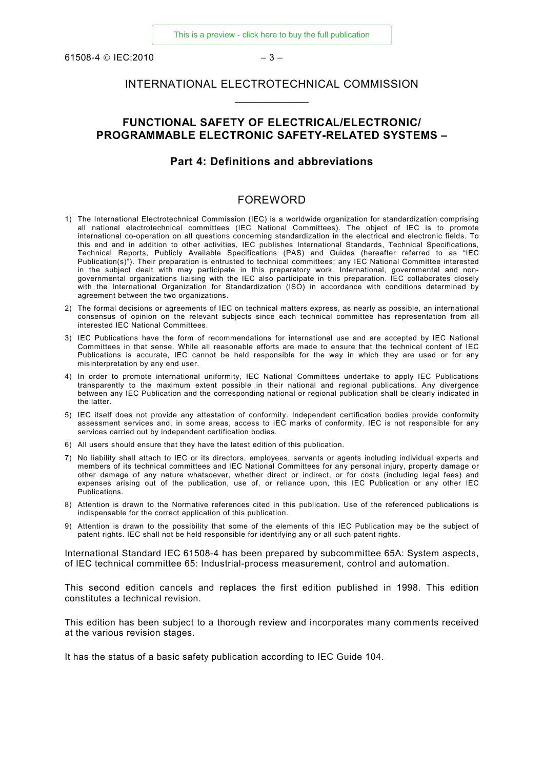<span id="page-2-0"></span> $61508-4$  © IFC: 2010 – 3 –

#### INTERNATIONAL ELECTROTECHNICAL COMMISSION  $\frac{1}{2}$

#### **FUNCTIONAL SAFETY OF ELECTRICAL/ELECTRONIC/ PROGRAMMABLE ELECTRONIC SAFETY-RELATED SYSTEMS –**

#### **Part 4: Definitions and abbreviations**

#### FOREWORD

- 1) The International Electrotechnical Commission (IEC) is a worldwide organization for standardization comprising all national electrotechnical committees (IEC National Committees). The object of IEC is to promote international co-operation on all questions concerning standardization in the electrical and electronic fields. To this end and in addition to other activities, IEC publishes International Standards, Technical Specifications, Technical Reports, Publicly Available Specifications (PAS) and Guides (hereafter referred to as "IEC Publication(s)"). Their preparation is entrusted to technical committees; any IEC National Committee interested in the subject dealt with may participate in this preparatory work. International, governmental and nongovernmental organizations liaising with the IEC also participate in this preparation. IEC collaborates closely with the International Organization for Standardization (ISO) in accordance with conditions determined by agreement between the two organizations.
- 2) The formal decisions or agreements of IEC on technical matters express, as nearly as possible, an international consensus of opinion on the relevant subjects since each technical committee has representation from all interested IEC National Committees.
- 3) IEC Publications have the form of recommendations for international use and are accepted by IEC National Committees in that sense. While all reasonable efforts are made to ensure that the technical content of IEC Publications is accurate, IEC cannot be held responsible for the way in which they are used or for any misinterpretation by any end user.
- 4) In order to promote international uniformity, IEC National Committees undertake to apply IEC Publications transparently to the maximum extent possible in their national and regional publications. Any divergence between any IEC Publication and the corresponding national or regional publication shall be clearly indicated in the latter.
- 5) IEC itself does not provide any attestation of conformity. Independent certification bodies provide conformity assessment services and, in some areas, access to IEC marks of conformity. IEC is not responsible for any services carried out by independent certification bodies.
- 6) All users should ensure that they have the latest edition of this publication.
- 7) No liability shall attach to IEC or its directors, employees, servants or agents including individual experts and members of its technical committees and IEC National Committees for any personal injury, property damage or other damage of any nature whatsoever, whether direct or indirect, or for costs (including legal fees) and expenses arising out of the publication, use of, or reliance upon, this IEC Publication or any other IEC Publications.
- 8) Attention is drawn to the Normative references cited in this publication. Use of the referenced publications is indispensable for the correct application of this publication.
- 9) Attention is drawn to the possibility that some of the elements of this IEC Publication may be the subject of patent rights. IEC shall not be held responsible for identifying any or all such patent rights.

International Standard IEC 61508-4 has been prepared by subcommittee 65A: System aspects, of IEC technical committee 65: Industrial-process measurement, control and automation.

This second edition cancels and replaces the first edition published in 1998. This edition constitutes a technical revision.

This edition has been subject to a thorough review and incorporates many comments received at the various revision stages.

It has the status of a basic safety publication according to IEC Guide 104.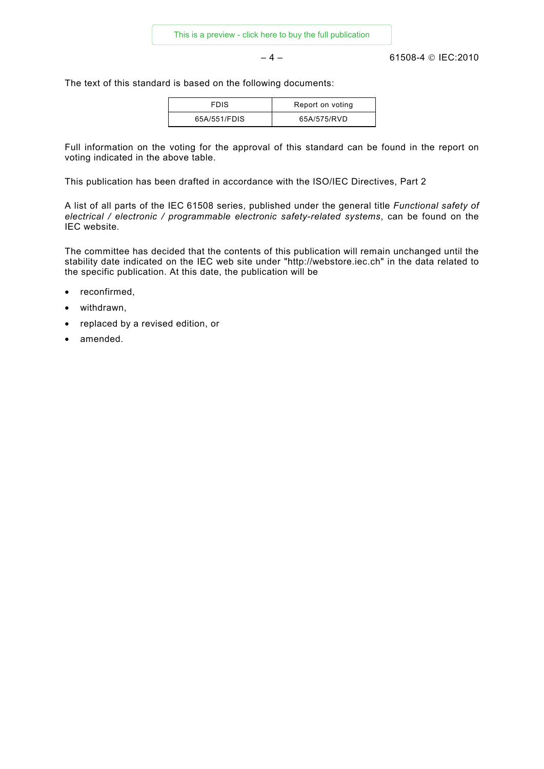$-4 -$  61508-4 © IEC:2010

The text of this standard is based on the following documents:

| <b>FDIS</b>  | Report on voting |
|--------------|------------------|
| 65A/551/FDIS | 65A/575/RVD      |

Full information on the voting for the approval of this standard can be found in the report on voting indicated in the above table.

This publication has been drafted in accordance with the ISO/IEC Directives, Part 2

A list of all parts of the IEC 61508 series, published under the general title *Functional safety of electrical / electronic / programmable electronic safety-related systems*, can be found on the IEC website.

The committee has decided that the contents of this publication will remain unchanged until the stability date indicated on the IEC web site under "http://webstore.iec.ch" in the data related to the specific publication. At this date, the publication will be

- reconfirmed,
- withdrawn,
- replaced by a revised edition, or
- amended.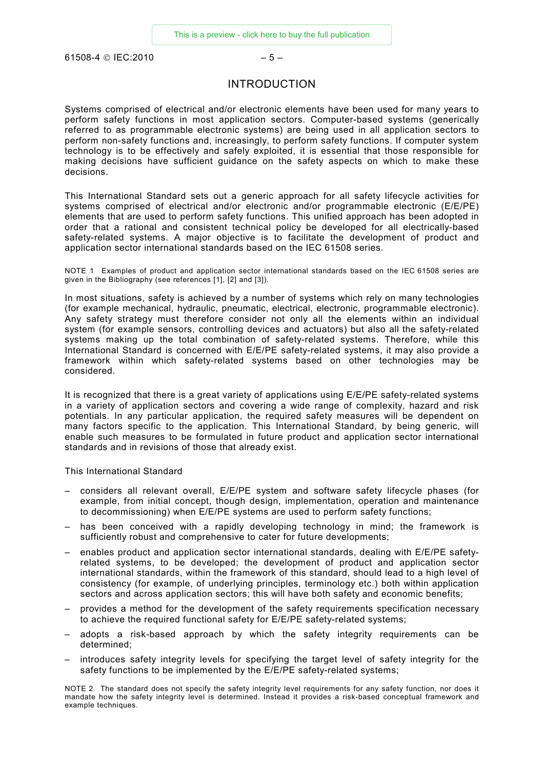<span id="page-4-0"></span> $61508-4$  © IEC:2010 – 5 –

#### INTRODUCTION

Systems comprised of electrical and/or electronic elements have been used for many years to perform safety functions in most application sectors. Computer-based systems (generically referred to as programmable electronic systems) are being used in all application sectors to perform non-safety functions and, increasingly, to perform safety functions. If computer system technology is to be effectively and safely exploited, it is essential that those responsible for making decisions have sufficient guidance on the safety aspects on which to make these decisions.

This International Standard sets out a generic approach for all safety lifecycle activities for systems comprised of electrical and/or electronic and/or programmable electronic (E/E/PE) elements that are used to perform safety functions. This unified approach has been adopted in order that a rational and consistent technical policy be developed for all electrically-based safety-related systems. A major objective is to facilitate the development of product and application sector international standards based on the IEC 61508 series.

NOTE 1 Examples of product and application sector international standards based on the IEC 61508 series are given in the Bibliography (see references [1], [2] and [3]).

In most situations, safety is achieved by a number of systems which rely on many technologies (for example mechanical, hydraulic, pneumatic, electrical, electronic, programmable electronic). Any safety strategy must therefore consider not only all the elements within an individual system (for example sensors, controlling devices and actuators) but also all the safety-related systems making up the total combination of safety-related systems. Therefore, while this International Standard is concerned with E/E/PE safety-related systems, it may also provide a framework within which safety-related systems based on other technologies may be considered.

It is recognized that there is a great variety of applications using E/E/PE safety-related systems in a variety of application sectors and covering a wide range of complexity, hazard and risk potentials. In any particular application, the required safety measures will be dependent on many factors specific to the application. This International Standard, by being generic, will enable such measures to be formulated in future product and application sector international standards and in revisions of those that already exist.

This International Standard

- considers all relevant overall, E/E/PE system and software safety lifecycle phases (for example, from initial concept, though design, implementation, operation and maintenance to decommissioning) when E/E/PE systems are used to perform safety functions;
- has been conceived with a rapidly developing technology in mind; the framework is sufficiently robust and comprehensive to cater for future developments;
- enables product and application sector international standards, dealing with E/E/PE safetyrelated systems, to be developed; the development of product and application sector international standards, within the framework of this standard, should lead to a high level of consistency (for example, of underlying principles, terminology etc.) both within application sectors and across application sectors; this will have both safety and economic benefits;
- provides a method for the development of the safety requirements specification necessary to achieve the required functional safety for E/E/PE safety-related systems;
- adopts a risk-based approach by which the safety integrity requirements can be determined;
- introduces safety integrity levels for specifying the target level of safety integrity for the safety functions to be implemented by the E/E/PE safety-related systems;

NOTE 2 The standard does not specify the safety integrity level requirements for any safety function, nor does it mandate how the safety integrity level is determined. Instead it provides a risk-based conceptual framework and example techniques.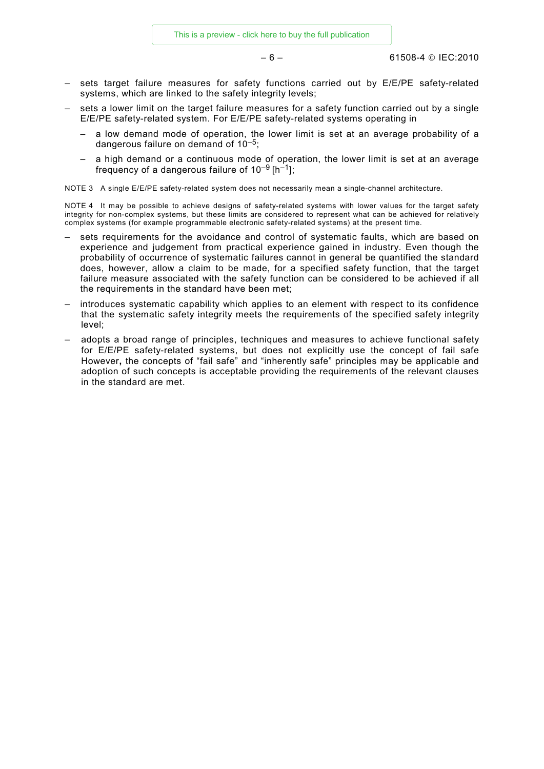$-6 - 6$  – 61508-4 © IEC:2010

- sets target failure measures for safety functions carried out by E/E/PE safety-related systems, which are linked to the safety integrity levels;
- sets a lower limit on the target failure measures for a safety function carried out by a single E/E/PE safety-related system. For E/E/PE safety-related systems operating in
	- a low demand mode of operation, the lower limit is set at an average probability of a dangerous failure on demand of 10<sup>-5</sup>;
	- a high demand or a continuous mode of operation, the lower limit is set at an average frequency of a dangerous failure of  $10^{-9}$  [h<sup>-1</sup>];
- NOTE 3 A single E/E/PE safety-related system does not necessarily mean a single-channel architecture.

NOTE 4 It may be possible to achieve designs of safety-related systems with lower values for the target safety integrity for non-complex systems, but these limits are considered to represent what can be achieved for relatively complex systems (for example programmable electronic safety-related systems) at the present time.

- sets requirements for the avoidance and control of systematic faults, which are based on experience and judgement from practical experience gained in industry. Even though the probability of occurrence of systematic failures cannot in general be quantified the standard does, however, allow a claim to be made, for a specified safety function, that the target failure measure associated with the safety function can be considered to be achieved if all the requirements in the standard have been met;
- introduces systematic capability which applies to an element with respect to its confidence that the systematic safety integrity meets the requirements of the specified safety integrity level;
- adopts a broad range of principles, techniques and measures to achieve functional safety for E/E/PE safety-related systems, but does not explicitly use the concept of fail safe However**,** the concepts of "fail safe" and "inherently safe" principles may be applicable and adoption of such concepts is acceptable providing the requirements of the relevant clauses in the standard are met.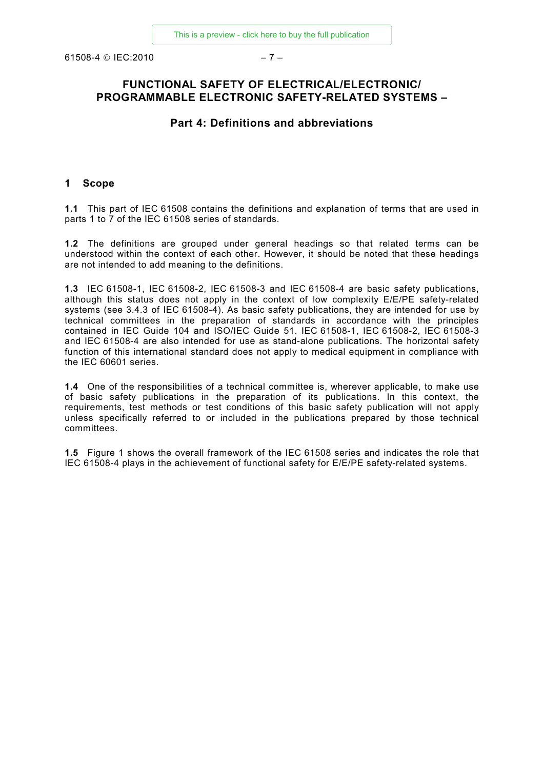<span id="page-6-0"></span> $61508-4$  © IFC: 2010 – 7 –

#### **FUNCTIONAL SAFETY OF ELECTRICAL/ELECTRONIC/ PROGRAMMABLE ELECTRONIC SAFETY-RELATED SYSTEMS –**

#### **Part 4: Definitions and abbreviations**

#### **1 Scope**

**1.1** This part of IEC 61508 contains the definitions and explanation of terms that are used in parts 1 to 7 of the IEC 61508 series of standards.

**1.2** The definitions are grouped under general headings so that related terms can be understood within the context of each other. However, it should be noted that these headings are not intended to add meaning to the definitions.

**1.3** IEC 61508-1, IEC 61508-2, IEC 61508-3 and IEC 61508-4 are basic safety publications, although this status does not apply in the context of low complexity E/E/PE safety-related systems (see 3.4.3 of IEC 61508-4). As basic safety publications, they are intended for use by technical committees in the preparation of standards in accordance with the principles contained in IEC Guide 104 and ISO/IEC Guide 51. IEC 61508-1, IEC 61508-2, IEC 61508-3 and IEC 61508-4 are also intended for use as stand-alone publications. The horizontal safety function of this international standard does not apply to medical equipment in compliance with the IEC 60601 series.

**1.4** One of the responsibilities of a technical committee is, wherever applicable, to make use of basic safety publications in the preparation of its publications. In this context, the requirements, test methods or test conditions of this basic safety publication will not apply unless specifically referred to or included in the publications prepared by those technical committees.

**1.5** Figure 1 shows the overall framework of the IEC 61508 series and indicates the role that IEC 61508-4 plays in the achievement of functional safety for E/E/PE safety-related systems.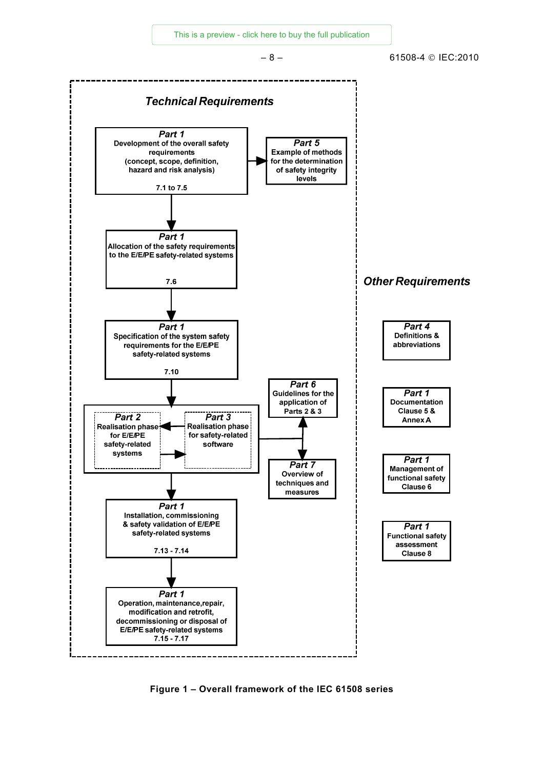[This is a preview - click here to buy the full publication](https://webstore.iec.ch/publication/5518&preview=1)

– 8 – 61508-4 © IEC:2010

<span id="page-7-0"></span>

**Figure 1 – Overall framework of the IEC 61508 series**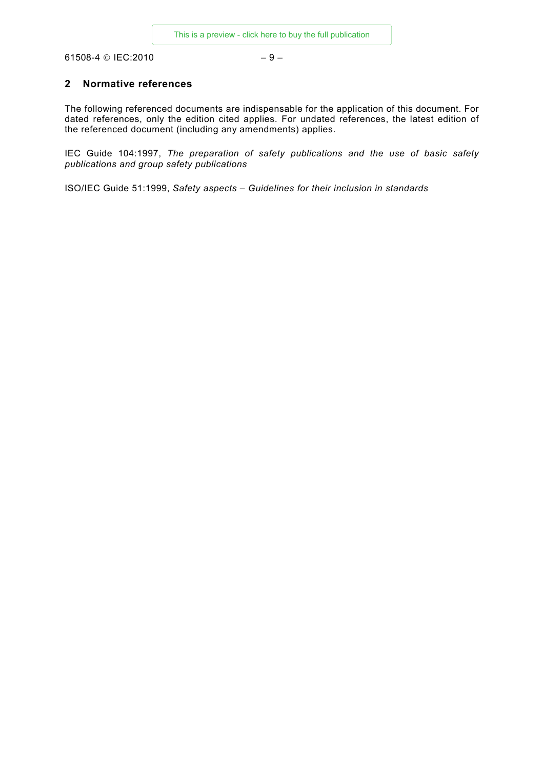<span id="page-8-0"></span>61508-4 © IEC:2010  $-9-$ 

#### **2 Normative references**

The following referenced documents are indispensable for the application of this document. For dated references, only the edition cited applies. For undated references, the latest edition of the referenced document (including any amendments) applies.

IEC Guide 104:1997, *The preparation of safety publications and the use of basic safety publications and group safety publications*

ISO/IEC Guide 51:1999, *Safety aspects – Guidelines for their inclusion in standards*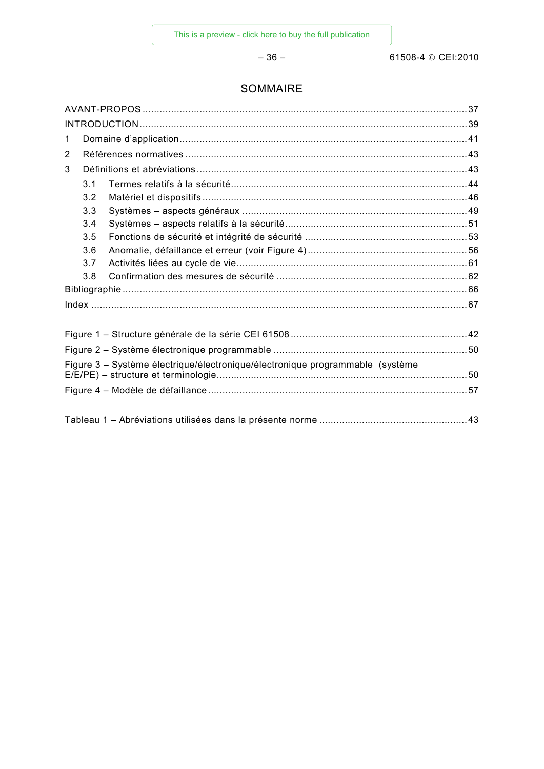$-36-$ 

### SOMMAIRE

| 1              |     |                                                                               |  |  |
|----------------|-----|-------------------------------------------------------------------------------|--|--|
| $\overline{2}$ |     |                                                                               |  |  |
| 3              |     |                                                                               |  |  |
|                | 3.1 |                                                                               |  |  |
|                | 3.2 |                                                                               |  |  |
|                | 3.3 |                                                                               |  |  |
|                | 3.4 |                                                                               |  |  |
|                | 3.5 |                                                                               |  |  |
|                | 3.6 |                                                                               |  |  |
|                | 3.7 |                                                                               |  |  |
|                | 3.8 |                                                                               |  |  |
|                |     |                                                                               |  |  |
|                |     |                                                                               |  |  |
|                |     |                                                                               |  |  |
|                |     |                                                                               |  |  |
|                |     |                                                                               |  |  |
|                |     | Figure 3 – Système électrique/électronique/électronique programmable (système |  |  |
|                |     |                                                                               |  |  |
|                |     |                                                                               |  |  |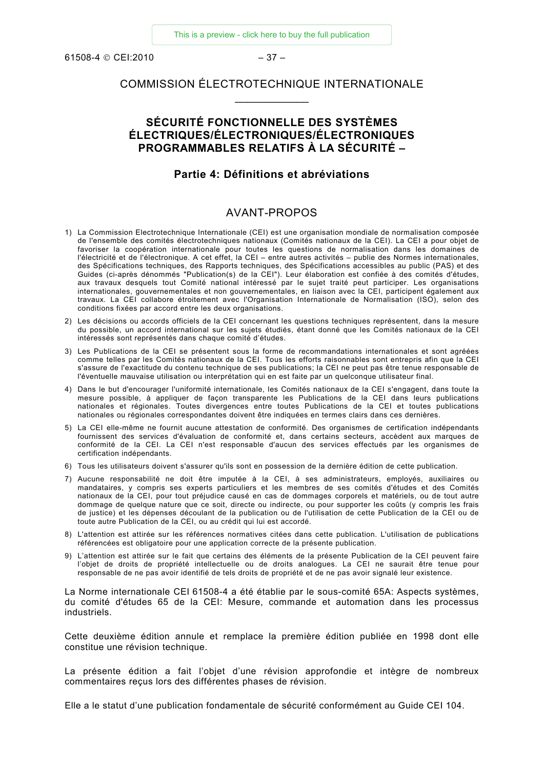<span id="page-10-0"></span> $61508-4$  © CFI:2010 – 37 –

#### COMMISSION ÉLECTROTECHNIQUE INTERNATIONALE  $\frac{1}{2}$

#### **SÉCURITÉ FONCTIONNELLE DES SYSTÈMES ÉLECTRIQUES/ÉLECTRONIQUES/ÉLECTRONIQUES PROGRAMMABLES RELATIFS À LA SÉCURITÉ –**

#### **Partie 4: Définitions et abréviations**

#### AVANT-PROPOS

- 1) La Commission Electrotechnique Internationale (CEI) est une organisation mondiale de normalisation composée de l'ensemble des comités électrotechniques nationaux (Comités nationaux de la CEI). La CEI a pour objet de favoriser la coopération internationale pour toutes les questions de normalisation dans les domaines de l'électricité et de l'électronique. A cet effet, la CEI – entre autres activités – publie des Normes internationales, des Spécifications techniques, des Rapports techniques, des Spécifications accessibles au public (PAS) et des Guides (ci-après dénommés "Publication(s) de la CEI"). Leur élaboration est confiée à des comités d'études, aux travaux desquels tout Comité national intéressé par le sujet traité peut participer. Les organisations internationales, gouvernementales et non gouvernementales, en liaison avec la CEI, participent également aux travaux. La CEI collabore étroitement avec l'Organisation Internationale de Normalisation (ISO), selon des conditions fixées par accord entre les deux organisations.
- 2) Les décisions ou accords officiels de la CEI concernant les questions techniques représentent, dans la mesure du possible, un accord international sur les sujets étudiés, étant donné que les Comités nationaux de la CEI intéressés sont représentés dans chaque comité d'études.
- 3) Les Publications de la CEI se présentent sous la forme de recommandations internationales et sont agréées comme telles par les Comités nationaux de la CEI. Tous les efforts raisonnables sont entrepris afin que la CEI s'assure de l'exactitude du contenu technique de ses publications; la CEI ne peut pas être tenue responsable de l'éventuelle mauvaise utilisation ou interprétation qui en est faite par un quelconque utilisateur final.
- 4) Dans le but d'encourager l'uniformité internationale, les Comités nationaux de la CEI s'engagent, dans toute la mesure possible, à appliquer de façon transparente les Publications de la CEI dans leurs publications nationales et régionales. Toutes divergences entre toutes Publications de la CEI et toutes publications nationales ou régionales correspondantes doivent être indiquées en termes clairs dans ces dernières.
- 5) La CEI elle-même ne fournit aucune attestation de conformité. Des organismes de certification indépendants fournissent des services d'évaluation de conformité et, dans certains secteurs, accèdent aux marques de conformité de la CEI. La CEI n'est responsable d'aucun des services effectués par les organismes de certification indépendants.
- 6) Tous les utilisateurs doivent s'assurer qu'ils sont en possession de la dernière édition de cette publication.
- 7) Aucune responsabilité ne doit être imputée à la CEI, à ses administrateurs, employés, auxiliaires ou mandataires, y compris ses experts particuliers et les membres de ses comités d'études et des Comités nationaux de la CEI, pour tout préjudice causé en cas de dommages corporels et matériels, ou de tout autre dommage de quelque nature que ce soit, directe ou indirecte, ou pour supporter les coûts (y compris les frais de justice) et les dépenses découlant de la publication ou de l'utilisation de cette Publication de la CEI ou de toute autre Publication de la CEI, ou au crédit qui lui est accordé.
- 8) L'attention est attirée sur les références normatives citées dans cette publication. L'utilisation de publications référencées est obligatoire pour une application correcte de la présente publication.
- 9) L'attention est attirée sur le fait que certains des éléments de la présente Publication de la CEI peuvent faire l'objet de droits de propriété intellectuelle ou de droits analogues. La CEI ne saurait être tenue pour responsable de ne pas avoir identifié de tels droits de propriété et de ne pas avoir signalé leur existence.

La Norme internationale CEI 61508-4 a été établie par le sous-comité 65A: Aspects systèmes, du comité d'études 65 de la CEI: Mesure, commande et automation dans les processus industriels.

Cette deuxième édition annule et remplace la première édition publiée en 1998 dont elle constitue une révision technique.

La présente édition a fait l'objet d'une révision approfondie et intègre de nombreux commentaires reçus lors des différentes phases de révision.

Elle a le statut d'une publication fondamentale de sécurité conformément au Guide CEI 104.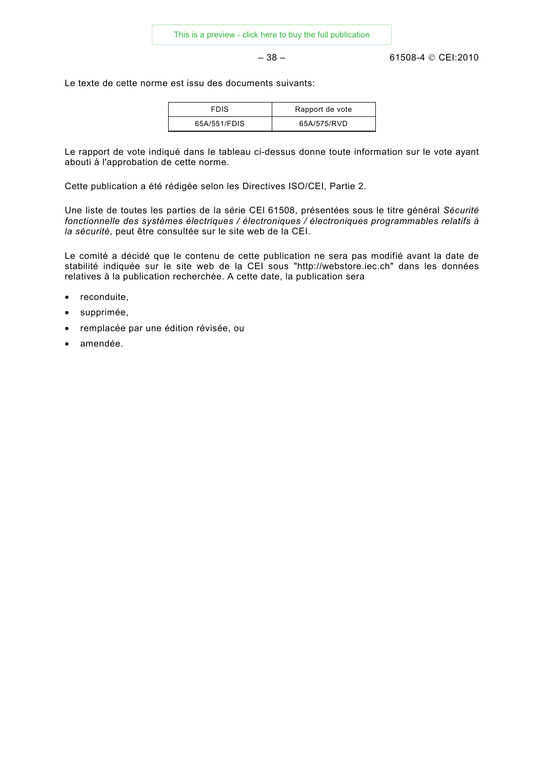$-38 - 61508-4 \odot \text{CE}$ :2010

Le texte de cette norme est issu des documents suivants:

| <b>FDIS</b>  | Rapport de vote |
|--------------|-----------------|
| 65A/551/FDIS | 65A/575/RVD     |

Le rapport de vote indiqué dans le tableau ci-dessus donne toute information sur le vote ayant abouti à l'approbation de cette norme.

Cette publication a été rédigée selon les Directives ISO/CEI, Partie 2.

Une liste de toutes les parties de la série CEI 61508, présentées sous le titre général *Sécurité fonctionnelle des systèmes électriques / électroniques / électroniques programmables relatifs à la sécurité*, peut être consultée sur le site web de la CEI.

Le comité a décidé que le contenu de cette publication ne sera pas modifié avant la date de stabilité indiquée sur le site web de la CEI sous "http://webstore.iec.ch" dans les données relatives à la publication recherchée. A cette date, la publication sera

- reconduite,
- supprimée,
- remplacée par une édition révisée, ou
- amendée.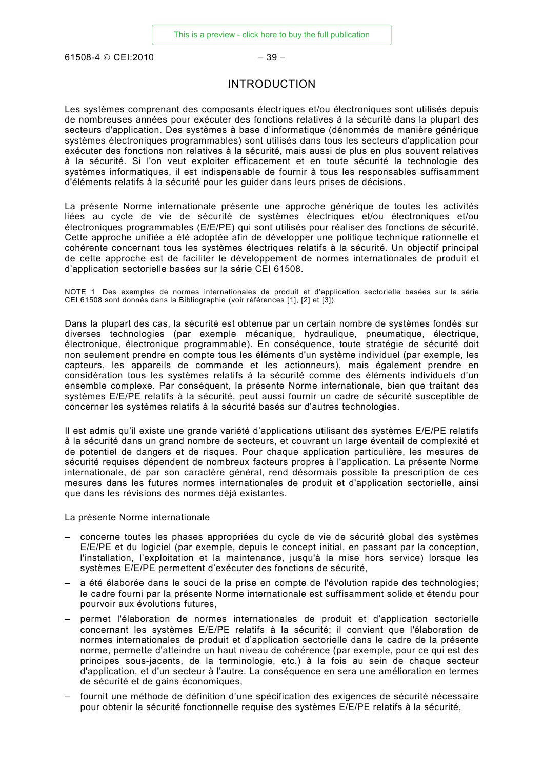<span id="page-12-0"></span> $61508-4$  © CFI:2010 – 39 –

#### INTRODUCTION

Les systèmes comprenant des composants électriques et/ou électroniques sont utilisés depuis de nombreuses années pour exécuter des fonctions relatives à la sécurité dans la plupart des secteurs d'application. Des systèmes à base d'informatique (dénommés de manière générique systèmes électroniques programmables) sont utilisés dans tous les secteurs d'application pour exécuter des fonctions non relatives à la sécurité, mais aussi de plus en plus souvent relatives à la sécurité. Si l'on veut exploiter efficacement et en toute sécurité la technologie des systèmes informatiques, il est indispensable de fournir à tous les responsables suffisamment d'éléments relatifs à la sécurité pour les guider dans leurs prises de décisions.

La présente Norme internationale présente une approche générique de toutes les activités liées au cycle de vie de sécurité de systèmes électriques et/ou électroniques et/ou électroniques programmables (E/E/PE) qui sont utilisés pour réaliser des fonctions de sécurité. Cette approche unifiée a été adoptée afin de développer une politique technique rationnelle et cohérente concernant tous les systèmes électriques relatifs à la sécurité. Un objectif principal de cette approche est de faciliter le développement de normes internationales de produit et d'application sectorielle basées sur la série CEI 61508.

NOTE 1 Des exemples de normes internationales de produit et d'application sectorielle basées sur la série CEI 61508 sont donnés dans la Bibliographie (voir références [1], [2] et [3]).

Dans la plupart des cas, la sécurité est obtenue par un certain nombre de systèmes fondés sur diverses technologies (par exemple mécanique, hydraulique, pneumatique, électrique, électronique, électronique programmable). En conséquence, toute stratégie de sécurité doit non seulement prendre en compte tous les éléments d'un système individuel (par exemple, les capteurs, les appareils de commande et les actionneurs), mais également prendre en considération tous les systèmes relatifs à la sécurité comme des éléments individuels d'un ensemble complexe. Par conséquent, la présente Norme internationale, bien que traitant des systèmes E/E/PE relatifs à la sécurité, peut aussi fournir un cadre de sécurité susceptible de concerner les systèmes relatifs à la sécurité basés sur d'autres technologies.

Il est admis qu'il existe une grande variété d'applications utilisant des systèmes E/E/PE relatifs à la sécurité dans un grand nombre de secteurs, et couvrant un large éventail de complexité et de potentiel de dangers et de risques. Pour chaque application particulière, les mesures de sécurité requises dépendent de nombreux facteurs propres à l'application. La présente Norme internationale, de par son caractère général, rend désormais possible la prescription de ces mesures dans les futures normes internationales de produit et d'application sectorielle, ainsi que dans les révisions des normes déjà existantes.

La présente Norme internationale

- concerne toutes les phases appropriées du cycle de vie de sécurité global des systèmes E/E/PE et du logiciel (par exemple, depuis le concept initial, en passant par la conception, l'installation, l'exploitation et la maintenance, jusqu'à la mise hors service) lorsque les systèmes E/E/PE permettent d'exécuter des fonctions de sécurité,
- a été élaborée dans le souci de la prise en compte de l'évolution rapide des technologies; le cadre fourni par la présente Norme internationale est suffisamment solide et étendu pour pourvoir aux évolutions futures,
- permet l'élaboration de normes internationales de produit et d'application sectorielle concernant les systèmes E/E/PE relatifs à la sécurité; il convient que l'élaboration de normes internationales de produit et d'application sectorielle dans le cadre de la présente norme, permette d'atteindre un haut niveau de cohérence (par exemple, pour ce qui est des principes sous-jacents, de la terminologie, etc.) à la fois au sein de chaque secteur d'application, et d'un secteur à l'autre. La conséquence en sera une amélioration en termes de sécurité et de gains économiques,
- fournit une méthode de définition d'une spécification des exigences de sécurité nécessaire pour obtenir la sécurité fonctionnelle requise des systèmes E/E/PE relatifs à la sécurité,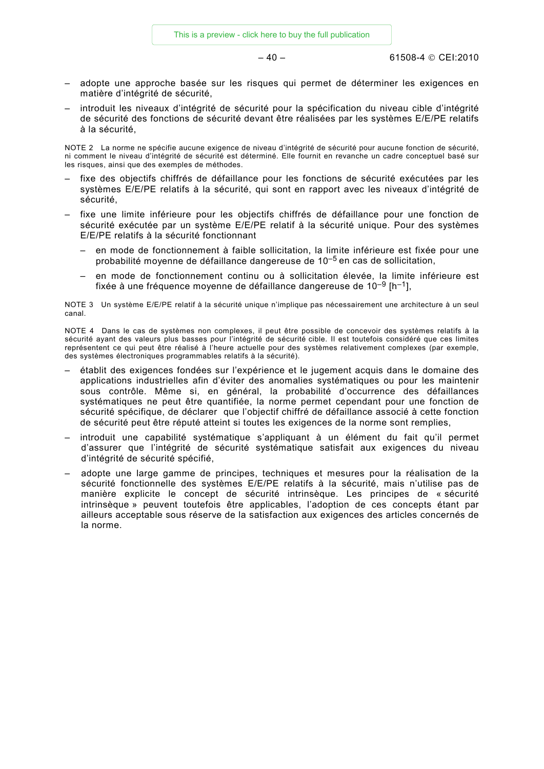$-40 -$  61508-4 © CEI:2010

- adopte une approche basée sur les risques qui permet de déterminer les exigences en matière d'intégrité de sécurité,
- introduit les niveaux d'intégrité de sécurité pour la spécification du niveau cible d'intégrité de sécurité des fonctions de sécurité devant être réalisées par les systèmes E/E/PE relatifs à la sécurité,

NOTE 2 La norme ne spécifie aucune exigence de niveau d'intégrité de sécurité pour aucune fonction de sécurité, ni comment le niveau d'intégrité de sécurité est déterminé. Elle fournit en revanche un cadre conceptuel basé sur les risques, ainsi que des exemples de méthodes.

- fixe des objectifs chiffrés de défaillance pour les fonctions de sécurité exécutées par les systèmes E/E/PE relatifs à la sécurité, qui sont en rapport avec les niveaux d'intégrité de sécurité,
- fixe une limite inférieure pour les objectifs chiffrés de défaillance pour une fonction de sécurité exécutée par un système E/E/PE relatif à la sécurité unique. Pour des systèmes E/E/PE relatifs à la sécurité fonctionnant
	- en mode de fonctionnement à faible sollicitation, la limite inférieure est fixée pour une probabilité moyenne de défaillance dangereuse de  $10^{-5}$  en cas de sollicitation,
	- en mode de fonctionnement continu ou à sollicitation élevée, la limite inférieure est fixée à une fréquence moyenne de défaillance dangereuse de  $10^{-9}$  [h<sup>-1</sup>],

NOTE 3 Un système E/E/PE relatif à la sécurité unique n'implique pas nécessairement une architecture à un seul canal.

NOTE 4 Dans le cas de systèmes non complexes, il peut être possible de concevoir des systèmes relatifs à la sécurité ayant des valeurs plus basses pour l'intégrité de sécurité cible. Il est toutefois considéré que ces limites représentent ce qui peut être réalisé à l'heure actuelle pour des systèmes relativement complexes (par exemple, des systèmes électroniques programmables relatifs à la sécurité).

- établit des exigences fondées sur l'expérience et le jugement acquis dans le domaine des applications industrielles afin d'éviter des anomalies systématiques ou pour les maintenir sous contrôle. Même si, en général, la probabilité d'occurrence des défaillances systématiques ne peut être quantifiée, la norme permet cependant pour une fonction de sécurité spécifique, de déclarer que l'objectif chiffré de défaillance associé à cette fonction de sécurité peut être réputé atteint si toutes les exigences de la norme sont remplies,
- introduit une capabilité systématique s'appliquant à un élément du fait qu'il permet d'assurer que l'intégrité de sécurité systématique satisfait aux exigences du niveau d'intégrité de sécurité spécifié,
- adopte une large gamme de principes, techniques et mesures pour la réalisation de la sécurité fonctionnelle des systèmes E/E/PE relatifs à la sécurité, mais n'utilise pas de manière explicite le concept de sécurité intrinsèque. Les principes de « sécurité intrinsèque » peuvent toutefois être applicables, l'adoption de ces concepts étant par ailleurs acceptable sous réserve de la satisfaction aux exigences des articles concernés de la norme.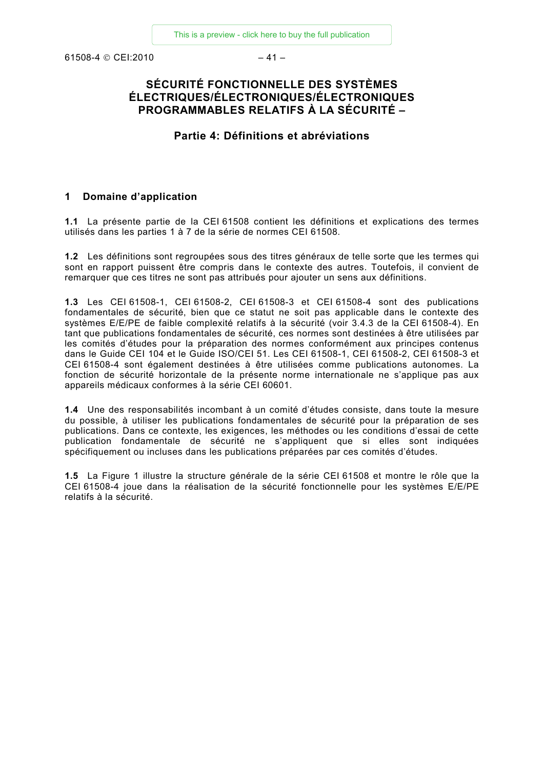<span id="page-14-0"></span> $61508-4$  © CFI:2010 – 41 –

#### **SÉCURITÉ FONCTIONNELLE DES SYSTÈMES ÉLECTRIQUES/ÉLECTRONIQUES/ÉLECTRONIQUES PROGRAMMABLES RELATIFS À LA SÉCURITÉ –**

#### **Partie 4: Définitions et abréviations**

#### **1 Domaine d'application**

**1.1** La présente partie de la CEI 61508 contient les définitions et explications des termes utilisés dans les parties 1 à 7 de la série de normes CEI 61508.

**1.2** Les définitions sont regroupées sous des titres généraux de telle sorte que les termes qui sont en rapport puissent être compris dans le contexte des autres. Toutefois, il convient de remarquer que ces titres ne sont pas attribués pour ajouter un sens aux définitions.

**1.3** Les CEI 61508-1, CEI 61508-2, CEI 61508-3 et CEI 61508-4 sont des publications fondamentales de sécurité, bien que ce statut ne soit pas applicable dans le contexte des systèmes E/E/PE de faible complexité relatifs à la sécurité (voir 3.4.3 de la CEI 61508-4). En tant que publications fondamentales de sécurité, ces normes sont destinées à être utilisées par les comités d'études pour la préparation des normes conformément aux principes contenus dans le Guide CEI 104 et le Guide ISO/CEI 51. Les CEI 61508-1, CEI 61508-2, CEI 61508-3 et CEI 61508-4 sont également destinées à être utilisées comme publications autonomes. La fonction de sécurité horizontale de la présente norme internationale ne s'applique pas aux appareils médicaux conformes à la série CEI 60601.

**1.4** Une des responsabilités incombant à un comité d'études consiste, dans toute la mesure du possible, à utiliser les publications fondamentales de sécurité pour la préparation de ses publications. Dans ce contexte, les exigences, les méthodes ou les conditions d'essai de cette publication fondamentale de sécurité ne s'appliquent que si elles sont indiquées spécifiquement ou incluses dans les publications préparées par ces comités d'études.

**1.5** La Figure 1 illustre la structure générale de la série CEI 61508 et montre le rôle que la CEI 61508-4 joue dans la réalisation de la sécurité fonctionnelle pour les systèmes E/E/PE relatifs à la sécurité.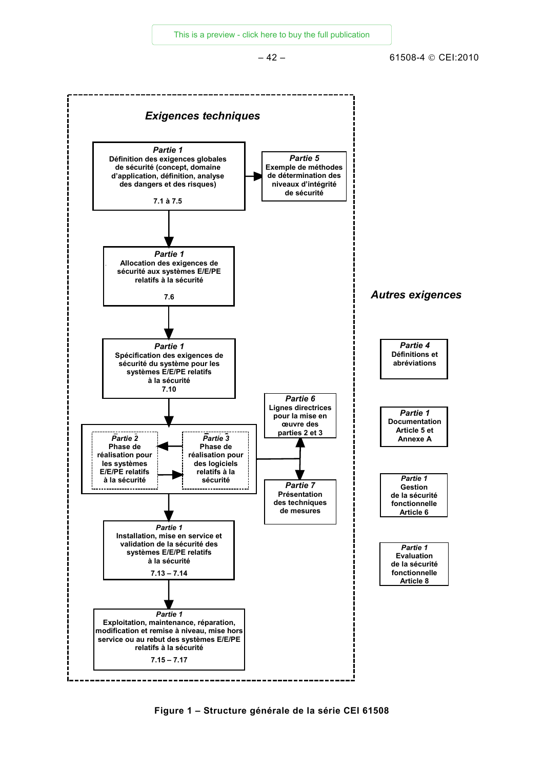[This is a preview - click here to buy the full publication](https://webstore.iec.ch/publication/5518&preview=1)

<span id="page-15-0"></span>

**Figure 1 – Structure générale de la série CEI 61508**